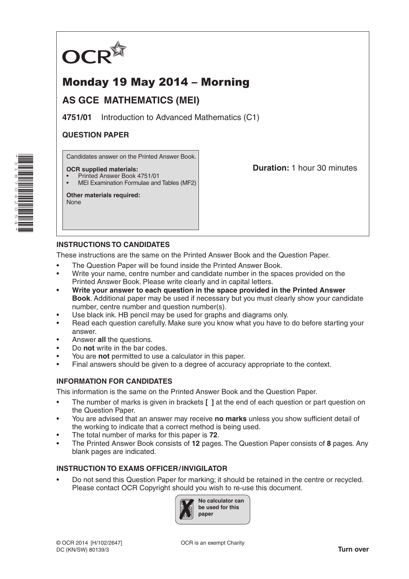

# Monday 19 May 2014 – Morning

# **AS GCE MATHEMATICS (MEI)**

**4751/01** Introduction to Advanced Mathematics (C1)

# **QUESTION PAPER**

Candidates answer on the Printed Answer Book.

#### **OCR supplied materials:**

- Printed Answer Book 4751/01
- MEI Examination Formulae and Tables (MF2)

**Other materials required:** None

**Duration:** 1 hour 30 minutes

## **INSTRUCTIONS TO CANDIDATES**

These instructions are the same on the Printed Answer Book and the Question Paper.

- The Question Paper will be found inside the Printed Answer Book.
- Write your name, centre number and candidate number in the spaces provided on the Printed Answer Book. Please write clearly and in capital letters.
- **• Write your answer to each question in the space provided in the Printed Answer Book**. Additional paper may be used if necessary but you must clearly show your candidate number, centre number and question number(s).
- Use black ink. HB pencil may be used for graphs and diagrams only.
- Read each question carefully. Make sure you know what you have to do before starting your answer.
- Answer **all** the questions.
- Do **not** write in the bar codes.
- You are **not** permitted to use a calculator in this paper.
- Final answers should be given to a degree of accuracy appropriate to the context.

#### **INFORMATION FOR CANDIDATES**

This information is the same on the Printed Answer Book and the Question Paper.

- The number of marks is given in brackets **[ ]** at the end of each question or part question on the Question Paper.
- You are advised that an answer may receive **no marks** unless you show sufficient detail of the working to indicate that a correct method is being used.
- The total number of marks for this paper is **72**.
- The Printed Answer Book consists of **12** pages. The Question Paper consists of **8** pages. Any blank pages are indicated.

## **INSTRUCTION TO EXAMS OFFICER/INVIGILATOR**

• Do not send this Question Paper for marking; it should be retained in the centre or recycled. Please contact OCR Copyright should you wish to re-use this document.

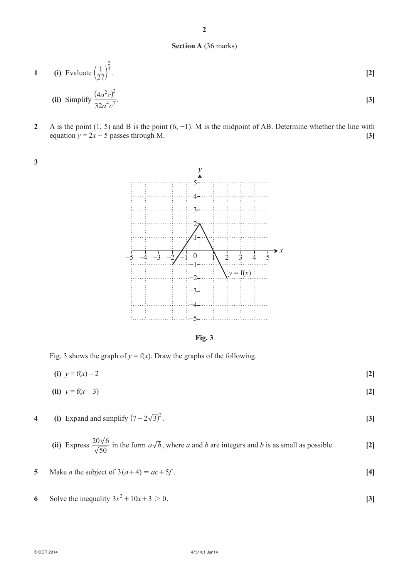#### **Section A** (36 marks)

1 (i) Evaluate 
$$
\left(\frac{1}{27}\right)^{\frac{2}{3}}
$$
. [2]  
(ii) Simplify  $\frac{(4a^2c)^3}{32a^4c^7}$ .

**2** A is the point (1, 5) and B is the point (6, −1). M is the midpoint of AB. Determine whether the line with equation  $y = 2x - 5$  passes through M. **[3]** 







Fig. 3 shows the graph of  $y = f(x)$ . Draw the graphs of the following.

**(i)**  $y = f(x) - 2$  [2]

(ii) 
$$
y = f(x-3)
$$
 [2]

**4 (i)** Expand and simplify  $(7 - 2\sqrt{3})^2$ . [3]

(ii) Express 
$$
\frac{20\sqrt{6}}{\sqrt{50}}
$$
 in the form  $a\sqrt{b}$ , where *a* and *b* are integers and *b* is as small as possible. [2]

## **5** Make *a* the subject of  $3(a+4) = ac + 5f$ . [4]

**6** Solve the inequality  $3x^2 + 10x + 3 > 0$ . [3]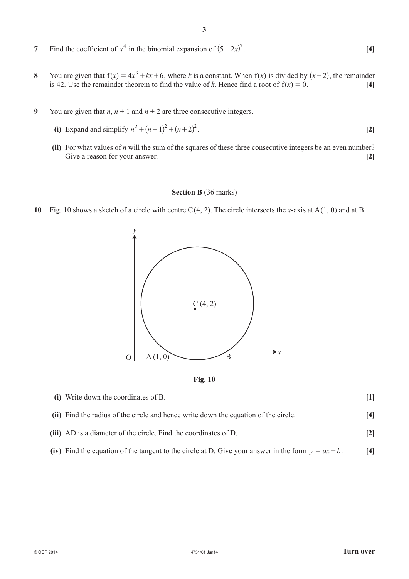- **7** Find the coefficient of  $x^4$  in the binomial expansion of  $(5 + 2x)^7$ . [4]
- **8** You are given that  $f(x) = 4x^3 + kx + 6$ , where *k* is a constant. When  $f(x)$  is divided by  $(x-2)$ , the remainder is 42. Use the remainder theorem to find the value of *k*. Hence find a root of  $f(x) = 0$ . [4]
- **9** You are given that  $n, n+1$  and  $n+2$  are three consecutive integers.
	- (i) Expand and simplify  $n^2 + (n+1)^2 + (n+2)^2$ . [2]
	- **(ii)** For what values of *n* will the sum of the squares of these three consecutive integers be an even number? Give a reason for your answer. **[2]**

#### **Section B** (36 marks)

**10** Fig. 10 shows a sketch of a circle with centre C(4, 2). The circle intersects the *x*-axis at A(1, 0) and at B.





| (i) Write down the coordinates of B.                                                                  | [1]            |
|-------------------------------------------------------------------------------------------------------|----------------|
| (ii) Find the radius of the circle and hence write down the equation of the circle.                   | [4]            |
| (iii) AD is a diameter of the circle. Find the coordinates of D.                                      | $\mathbf{[2]}$ |
| (iv) Find the equation of the tangent to the circle at D. Give your answer in the form $y = ax + b$ . | [4]            |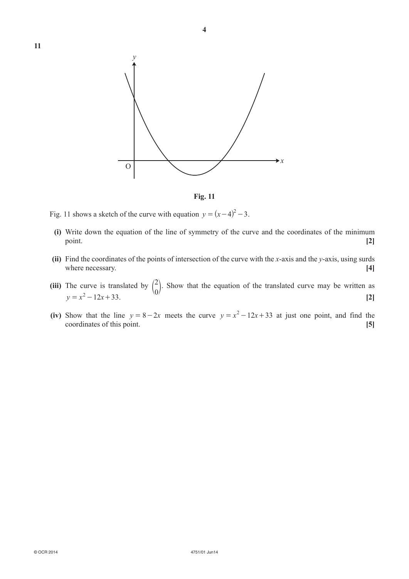



Fig. 11 shows a sketch of the curve with equation  $y = (x - 4)^2 - 3$ .

- **(i)** Write down the equation of the line of symmetry of the curve and the coordinates of the minimum point. **[2]**
- **(ii)** Find the coordinates of the points of intersection of the curve with the *x*-axis and the *y*-axis, using surds where necessary. **[4]**
- (iii) The curve is translated by  $\begin{pmatrix} 2 \\ 0 \end{pmatrix}$ . Show that the equation of the translated curve may be written as  $y = x^2 - 12x + 33.$  [2]
- (iv) Show that the line  $y = 8-2x$  meets the curve  $y = x^2 12x + 33$  at just one point, and find the coordinates of this point. **[5]**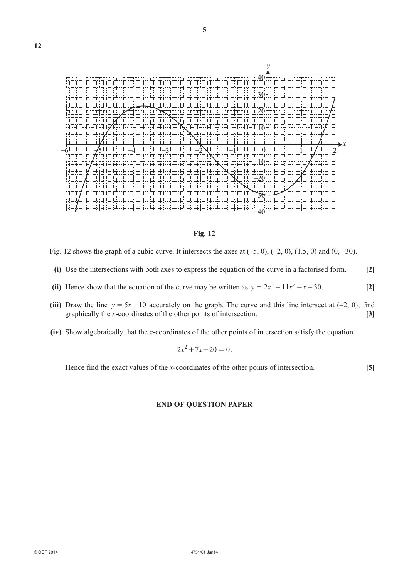



Fig. 12 shows the graph of a cubic curve. It intersects the axes at  $(-5, 0)$ ,  $(-2, 0)$ ,  $(1.5, 0)$  and  $(0, -30)$ .

- **(i)** Use the intersections with both axes to express the equation of the curve in a factorised form. **[2]**
- (ii) Hence show that the equation of the curve may be written as  $y = 2x^3 + 11x^2 x 30$ . [2]
- (iii) Draw the line  $y = 5x + 10$  accurately on the graph. The curve and this line intersect at  $(-2, 0)$ ; find graphically the *x*-coordinates of the other points of intersection. **[3]**
- **(iv)** Show algebraically that the *x*-coordinates of the other points of intersection satisfy the equation

$$
2x^2 + 7x - 20 = 0.
$$

Hence find the exact values of the *x*-coordinates of the other points of intersection. **[5]**

#### **END OF QUESTION PAPER**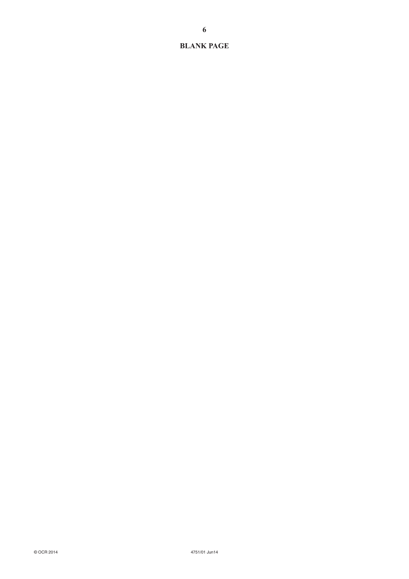#### **BLANK PAGE**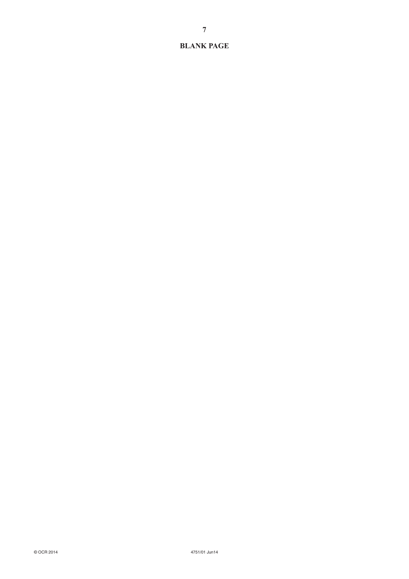#### **BLANK PAGE**